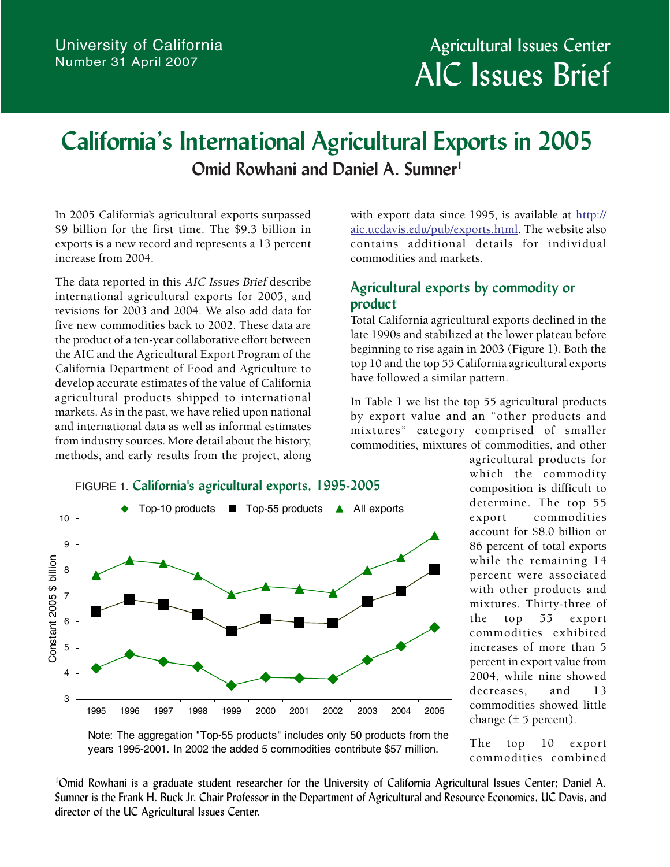# **California's International Agricultural Exports in 2005 Omid Rowhani and Daniel A. Sumner**<sup>1</sup>

In 2005 California's agricultural exports surpassed \$9 billion for the first time. The \$9.3 billion in exports is a new record and represents a 13 percent increase from 2004.

The data reported in this AIC Issues Brief describe international agricultural exports for 2005, and revisions for 2003 and 2004. We also add data for five new commodities back to 2002. These data are the product of a ten-year collaborative effort between the AIC and the Agricultural Export Program of the California Department of Food and Agriculture to develop accurate estimates of the value of California agricultural products shipped to international markets. As in the past, we have relied upon national and international data as well as informal estimates from industry sources. More detail about the history, methods, and early results from the project, along with export data since 1995, is available at [http://](http://aic.ucdavis.edu/pub/exports.html) [aic.ucdavis.edu/pub/exports.html.](http://aic.ucdavis.edu/pub/exports.html) The website also contains additional details for individual commodities and markets.

## **Agricultural exports by commodity or product**

Total California agricultural exports declined in the late 1990s and stabilized at the lower plateau before beginning to rise again in 2003 (Figure 1). Both the top 10 and the top 55 California agricultural exports have followed a similar pattern.

In Table 1 we list the top 55 agricultural products by export value and an "other products and mixtures" category comprised of smaller commodities, mixtures of commodities, and other



agricultural products for which the commodity composition is difficult to determine. The top 55 export commodities account for \$8.0 billion or 86 percent of total exports while the remaining 14 percent were associated with other products and mixtures. Thirty-three of the top 55 export commodities exhibited increases of more than 5 percent in export value from 2004, while nine showed decreases, and 13 commodities showed little change  $(\pm 5$  percent).

The top 10 export commodities combined

Note: The aggregation "Top-55 products" includes only 50 products from the years 1995-2001. In 2002 the added 5 commodities contribute \$57 million.

1 Omid Rowhani is a graduate student researcher for the University of California Agricultural Issues Center; Daniel A. Sumner is the Frank H. Buck Jr. Chair Professor in the Department of Agricultural and Resource Economics, UC Davis, and director of the UC Agricultural Issues Center.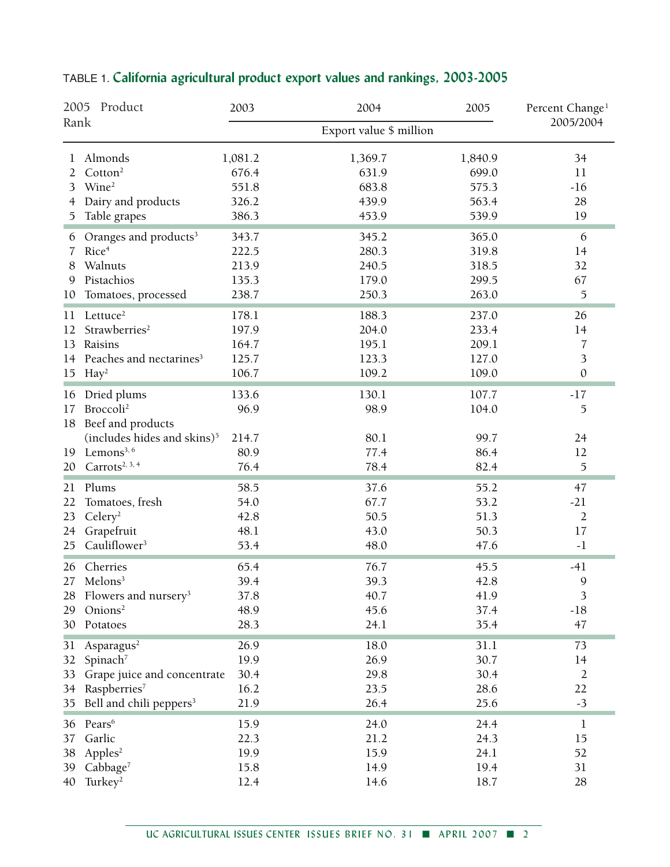| 2005 Product<br>Rank |                                                                                                 | 2003                                 | 2004                 | 2005                 | Percent Change <sup>1</sup> |  |
|----------------------|-------------------------------------------------------------------------------------------------|--------------------------------------|----------------------|----------------------|-----------------------------|--|
|                      |                                                                                                 | 2005/2004<br>Export value \$ million |                      |                      |                             |  |
| 1                    | Almonds                                                                                         | 1,081.2                              | 1,369.7              | 1,840.9              | 34                          |  |
| 2                    | Cotton <sup>2</sup>                                                                             | 676.4                                | 631.9                | 699.0                | 11                          |  |
| 3                    | Wine <sup>2</sup>                                                                               | 551.8                                | 683.8                | 575.3                | $-16$                       |  |
| 4                    | Dairy and products                                                                              | 326.2                                | 439.9                | 563.4                | 28                          |  |
| 5                    | Table grapes                                                                                    | 386.3                                | 453.9                | 539.9                | 19                          |  |
| 6                    | Oranges and products <sup>3</sup>                                                               | 343.7                                | 345.2                | 365.0                | 6                           |  |
| 7                    | Rice <sup>4</sup>                                                                               | 222.5                                | 280.3                | 319.8                | 14                          |  |
| 8                    | Walnuts                                                                                         | 213.9                                | 240.5                | 318.5                | 32                          |  |
| 9                    | Pistachios                                                                                      | 135.3                                | 179.0                | 299.5                | 67                          |  |
| 10                   | Tomatoes, processed                                                                             | 238.7                                | 250.3                | 263.0                | $\mathfrak{S}$              |  |
| 11                   | Lettuce <sup>2</sup>                                                                            | 178.1                                | 188.3                | 237.0                | 26                          |  |
| 12                   | Strawberries <sup>2</sup>                                                                       | 197.9                                | 204.0                | 233.4                | 14                          |  |
| 13                   | Raisins                                                                                         | 164.7                                | 195.1                | 209.1                | 7                           |  |
| 14                   | Peaches and nectarines <sup>3</sup>                                                             | 125.7                                | 123.3                | 127.0                | 3                           |  |
| 15                   | Hay <sup>2</sup>                                                                                | 106.7                                | 109.2                | 109.0                | $\boldsymbol{0}$            |  |
| 16<br>17<br>18       | Dried plums<br>Broccoli <sup>2</sup><br>Beef and products                                       | 133.6<br>96.9                        | 130.1<br>98.9        | 107.7<br>104.0       | $-17$<br>$\mathfrak{I}$     |  |
| 19<br>20             | (includes hides and skins) <sup>5</sup><br>Lemons <sup>3, 6</sup><br>Carrots <sup>2, 3, 4</sup> | 214.7<br>80.9<br>76.4                | 80.1<br>77.4<br>78.4 | 99.7<br>86.4<br>82.4 | 24<br>12<br>5               |  |
| 21                   | Plums                                                                                           | 58.5                                 | 37.6                 | 55.2                 | 47                          |  |
| 22                   | Tomatoes, fresh                                                                                 | 54.0                                 | 67.7                 | 53.2                 | $-21$                       |  |
| 23                   | Celery <sup>2</sup>                                                                             | 42.8                                 | 50.5                 | 51.3                 | $\overline{2}$              |  |
| 24                   | Grapefruit                                                                                      | 48.1                                 | 43.0                 | 50.3                 | 17                          |  |
| 25                   | Cauliflower <sup>3</sup>                                                                        | 53.4                                 | 48.0                 | 47.6                 | $-1$                        |  |
| 26                   | Cherries                                                                                        | 65.4                                 | 76.7                 | 45.5                 | $-41$                       |  |
| 27                   | Melons <sup>3</sup>                                                                             | 39.4                                 | 39.3                 | 42.8                 | $\mathbf{Q}$                |  |
| 28                   | Flowers and nursery <sup>3</sup>                                                                | 37.8                                 | 40.7                 | 41.9                 | 3                           |  |
| 29                   | Onions <sup>2</sup>                                                                             | 48.9                                 | 45.6                 | 37.4                 | $-18$                       |  |
| 30                   | Potatoes                                                                                        | 28.3                                 | 24.1                 | 35.4                 | 47                          |  |
| 31                   | Asparagus <sup>2</sup>                                                                          | 26.9                                 | 18.0                 | 31.1                 | 73                          |  |
| 32                   | Spinach <sup>7</sup>                                                                            | 19.9                                 | 26.9                 | 30.7                 | 14                          |  |
| 33                   | Grape juice and concentrate                                                                     | 30.4                                 | 29.8                 | 30.4                 | $\overline{2}$              |  |
| 34                   | Raspberries <sup>7</sup>                                                                        | 16.2                                 | 23.5                 | 28.6                 | 22                          |  |
| 35                   | Bell and chili peppers <sup>3</sup>                                                             | 21.9                                 | 26.4                 | 25.6                 | $-3$                        |  |
| 36                   | Pears <sup>6</sup>                                                                              | 15.9                                 | 24.0                 | 24.4                 | $\bf{l}$                    |  |
| 37                   | Garlic                                                                                          | 22.3                                 | 21.2                 | 24.3                 | 15                          |  |
| 38                   | AppleS <sup>2</sup>                                                                             | 19.9                                 | 15.9                 | 24.1                 | 52                          |  |
| 39                   | Cabbage <sup>7</sup>                                                                            | 15.8                                 | 14.9                 | 19.4                 | 31                          |  |
| 40                   | Turkey <sup>2</sup>                                                                             | 12.4                                 | 14.6                 | 18.7                 | 28                          |  |

# TABLE 1. **California agricultural product export values and rankings, 2003-2005**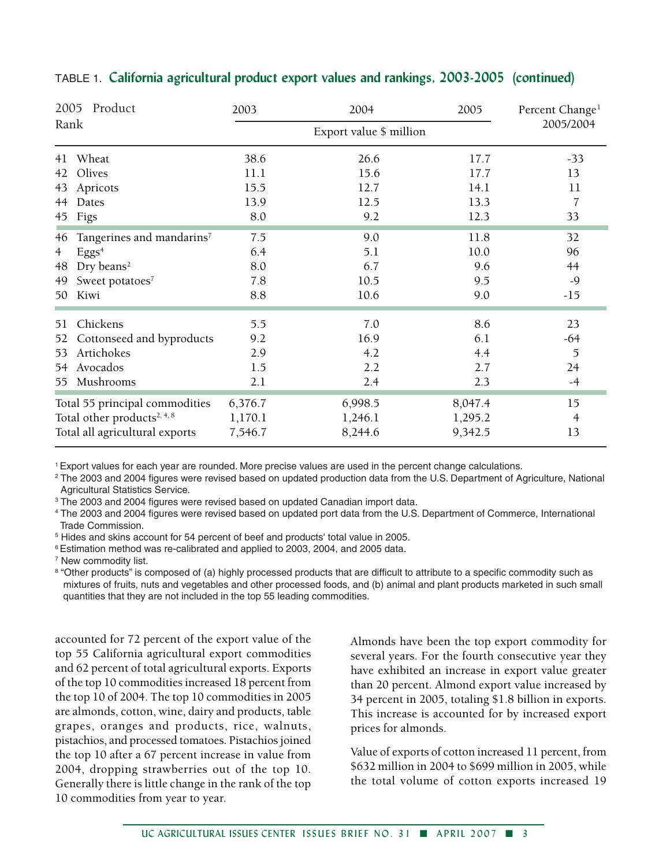| 2005<br>Product<br>Rank                 |                                       | 2003    | 2004      | 2005    | Percent Change <sup>1</sup> |
|-----------------------------------------|---------------------------------------|---------|-----------|---------|-----------------------------|
|                                         |                                       |         | 2005/2004 |         |                             |
| 41                                      | Wheat                                 | 38.6    | 26.6      | 17.7    | $-33$                       |
| 42                                      | Olives                                | 11.1    | 15.6      | 17.7    | 13                          |
| 43                                      | Apricots                              | 15.5    | 12.7      | 14.1    | 11                          |
| 44                                      | Dates                                 | 13.9    | 12.5      | 13.3    | 7                           |
| 45                                      | Figs                                  | 8.0     | 9.2       | 12.3    | 33                          |
| 46                                      | Tangerines and mandarins <sup>7</sup> | 7.5     | 9.0       | 11.8    | 32                          |
| 4                                       | Eggs <sup>4</sup>                     | 6.4     | 5.1       | 10.0    | 96                          |
| 48                                      | Dry beans <sup>2</sup>                | 8.0     | 6.7       | 9.6     | 44                          |
| 49                                      | Sweet potatoes7                       | 7.8     | 10.5      | 9.5     | $-9$                        |
| 50                                      | Kiwi                                  | 8.8     | 10.6      | 9.0     | $-15$                       |
| 51                                      | Chickens                              | 5.5     | 7.0       | 8.6     | 23                          |
| 52                                      | Cottonseed and byproducts             | 9.2     | 16.9      | 6.1     | $-64$                       |
| 53                                      | Artichokes                            | 2.9     | 4.2       | 4.4     | $\mathfrak{I}$              |
| 54                                      | Avocados                              | 1.5     | 2.2       | 2.7     | 24                          |
| 55                                      | Mushrooms                             | 2.1     | 2.4       | 2.3     | $-4$                        |
| Total 55 principal commodities          |                                       | 6,376.7 | 6,998.5   | 8,047.4 | 15                          |
| Total other products <sup>2, 4, 8</sup> |                                       | 1,170.1 | 1,246.1   | 1,295.2 | 4                           |
| Total all agricultural exports          |                                       | 7,546.7 | 8,244.6   | 9,342.5 | 13                          |

#### TABLE 1. **California agricultural product export values and rankings, 2003-2005 (continued)**

1 Export values for each year are rounded. More precise values are used in the percent change calculations.

2 The 2003 and 2004 figures were revised based on updated production data from the U.S. Department of Agriculture, National Agricultural Statistics Service.

<sup>3</sup> The 2003 and 2004 figures were revised based on updated Canadian import data.

4 The 2003 and 2004 figures were revised based on updated port data from the U.S. Department of Commerce, International Trade Commission.

5 Hides and skins account for 54 percent of beef and products' total value in 2005.

6 Estimation method was re-calibrated and applied to 2003, 2004, and 2005 data.

<sup>7</sup> New commodity list.

<sup>8</sup> "Other products" is composed of (a) highly processed products that are difficult to attribute to a specific commodity such as mixtures of fruits, nuts and vegetables and other processed foods, and (b) animal and plant products marketed in such small quantities that they are not included in the top 55 leading commodities.

accounted for 72 percent of the export value of the top 55 California agricultural export commodities and 62 percent of total agricultural exports. Exports of the top 10 commodities increased 18 percent from the top 10 of 2004. The top 10 commodities in 2005 are almonds, cotton, wine, dairy and products, table grapes, oranges and products, rice, walnuts, pistachios, and processed tomatoes. Pistachios joined the top 10 after a 67 percent increase in value from 2004, dropping strawberries out of the top 10. Generally there is little change in the rank of the top 10 commodities from year to year.

Almonds have been the top export commodity for several years. For the fourth consecutive year they have exhibited an increase in export value greater than 20 percent. Almond export value increased by 34 percent in 2005, totaling \$1.8 billion in exports. This increase is accounted for by increased export prices for almonds.

Value of exports of cotton increased 11 percent, from \$632 million in 2004 to \$699 million in 2005, while the total volume of cotton exports increased 19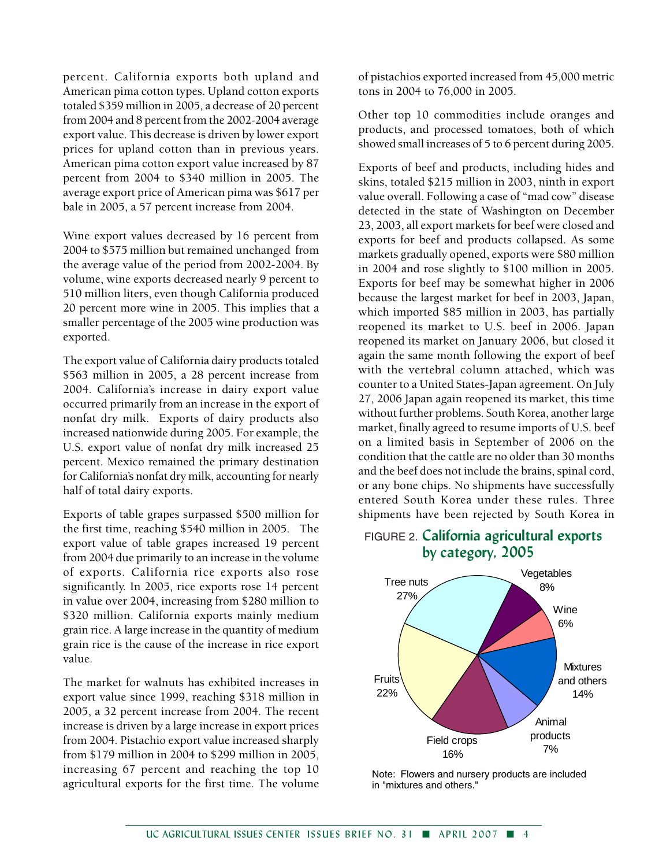percent. California exports both upland and American pima cotton types. Upland cotton exports totaled \$359 million in 2005, a decrease of 20 percent from 2004 and 8 percent from the 2002-2004 average export value. This decrease is driven by lower export prices for upland cotton than in previous years. American pima cotton export value increased by 87 percent from 2004 to \$340 million in 2005. The average export price of American pima was \$617 per bale in 2005, a 57 percent increase from 2004.

Wine export values decreased by 16 percent from 2004 to \$575 million but remained unchanged from the average value of the period from 2002-2004. By volume, wine exports decreased nearly 9 percent to 510 million liters, even though California produced 20 percent more wine in 2005. This implies that a smaller percentage of the 2005 wine production was exported.

The export value of California dairy products totaled \$563 million in 2005, a 28 percent increase from 2004. California's increase in dairy export value occurred primarily from an increase in the export of nonfat dry milk. Exports of dairy products also increased nationwide during 2005. For example, the U.S. export value of nonfat dry milk increased 25 percent. Mexico remained the primary destination for California's nonfat dry milk, accounting for nearly half of total dairy exports.

Exports of table grapes surpassed \$500 million for the first time, reaching \$540 million in 2005. The export value of table grapes increased 19 percent from 2004 due primarily to an increase in the volume of exports. California rice exports also rose significantly. In 2005, rice exports rose 14 percent in value over 2004, increasing from \$280 million to \$320 million. California exports mainly medium grain rice. A large increase in the quantity of medium grain rice is the cause of the increase in rice export value.

The market for walnuts has exhibited increases in export value since 1999, reaching \$318 million in 2005, a 32 percent increase from 2004. The recent increase is driven by a large increase in export prices from 2004. Pistachio export value increased sharply from \$179 million in 2004 to \$299 million in 2005, increasing 67 percent and reaching the top 10 agricultural exports for the first time. The volume

of pistachios exported increased from 45,000 metric tons in 2004 to 76,000 in 2005.

Other top 10 commodities include oranges and products, and processed tomatoes, both of which showed small increases of 5 to 6 percent during 2005.

Exports of beef and products, including hides and skins, totaled \$215 million in 2003, ninth in export value overall. Following a case of "mad cow" disease detected in the state of Washington on December 23, 2003, all export markets for beef were closed and exports for beef and products collapsed. As some markets gradually opened, exports were \$80 million in 2004 and rose slightly to \$100 million in 2005. Exports for beef may be somewhat higher in 2006 because the largest market for beef in 2003, Japan, which imported \$85 million in 2003, has partially reopened its market to U.S. beef in 2006. Japan reopened its market on January 2006, but closed it again the same month following the export of beef with the vertebral column attached, which was counter to a United States-Japan agreement. On July 27, 2006 Japan again reopened its market, this time without further problems. South Korea, another large market, finally agreed to resume imports of U.S. beef on a limited basis in September of 2006 on the condition that the cattle are no older than 30 months and the beef does not include the brains, spinal cord, or any bone chips. No shipments have successfully entered South Korea under these rules. Three shipments have been rejected by South Korea in

### FIGURE 2. **California agricultural exports by category, 2005**



Note: Flowers and nursery products are included in "mixtures and others."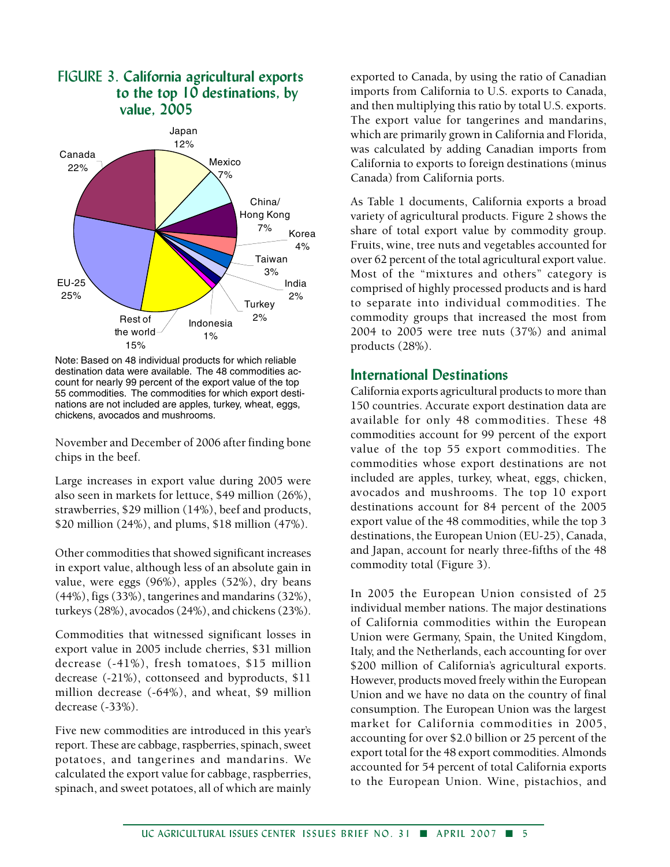

FIGURE 3. **California agricultural exports**

Note: Based on 48 individual products for which reliable destination data were available. The 48 commodities account for nearly 99 percent of the export value of the top 55 commodities. The commodities for which export destinations are not included are apples, turkey, wheat, eggs, chickens, avocados and mushrooms.

November and December of 2006 after finding bone chips in the beef.

Large increases in export value during 2005 were also seen in markets for lettuce, \$49 million (26%), strawberries, \$29 million (14%), beef and products, \$20 million (24%), and plums, \$18 million (47%).

Other commodities that showed significant increases in export value, although less of an absolute gain in value, were eggs (96%), apples (52%), dry beans (44%), figs (33%), tangerines and mandarins (32%), turkeys (28%), avocados (24%), and chickens (23%).

Commodities that witnessed significant losses in export value in 2005 include cherries, \$31 million decrease (-41%), fresh tomatoes, \$15 million decrease (-21%), cottonseed and byproducts, \$11 million decrease (-64%), and wheat, \$9 million decrease (-33%).

Five new commodities are introduced in this year's report. These are cabbage, raspberries, spinach, sweet potatoes, and tangerines and mandarins. We calculated the export value for cabbage, raspberries, spinach, and sweet potatoes, all of which are mainly

exported to Canada, by using the ratio of Canadian imports from California to U.S. exports to Canada, and then multiplying this ratio by total U.S. exports. The export value for tangerines and mandarins, which are primarily grown in California and Florida, was calculated by adding Canadian imports from California to exports to foreign destinations (minus Canada) from California ports.

As Table 1 documents, California exports a broad variety of agricultural products. Figure 2 shows the share of total export value by commodity group. Fruits, wine, tree nuts and vegetables accounted for over 62 percent of the total agricultural export value. Most of the "mixtures and others" category is comprised of highly processed products and is hard to separate into individual commodities. The commodity groups that increased the most from 2004 to 2005 were tree nuts (37%) and animal products (28%).

#### **International Destinations**

California exports agricultural products to more than 150 countries. Accurate export destination data are available for only 48 commodities. These 48 commodities account for 99 percent of the export value of the top 55 export commodities. The commodities whose export destinations are not included are apples, turkey, wheat, eggs, chicken, avocados and mushrooms. The top 10 export destinations account for 84 percent of the 2005 export value of the 48 commodities, while the top 3 destinations, the European Union (EU-25), Canada, and Japan, account for nearly three-fifths of the 48 commodity total (Figure 3).

In 2005 the European Union consisted of 25 individual member nations. The major destinations of California commodities within the European Union were Germany, Spain, the United Kingdom, Italy, and the Netherlands, each accounting for over \$200 million of California's agricultural exports. However, products moved freely within the European Union and we have no data on the country of final consumption. The European Union was the largest market for California commodities in 2005, accounting for over \$2.0 billion or 25 percent of the export total for the 48 export commodities. Almonds accounted for 54 percent of total California exports to the European Union. Wine, pistachios, and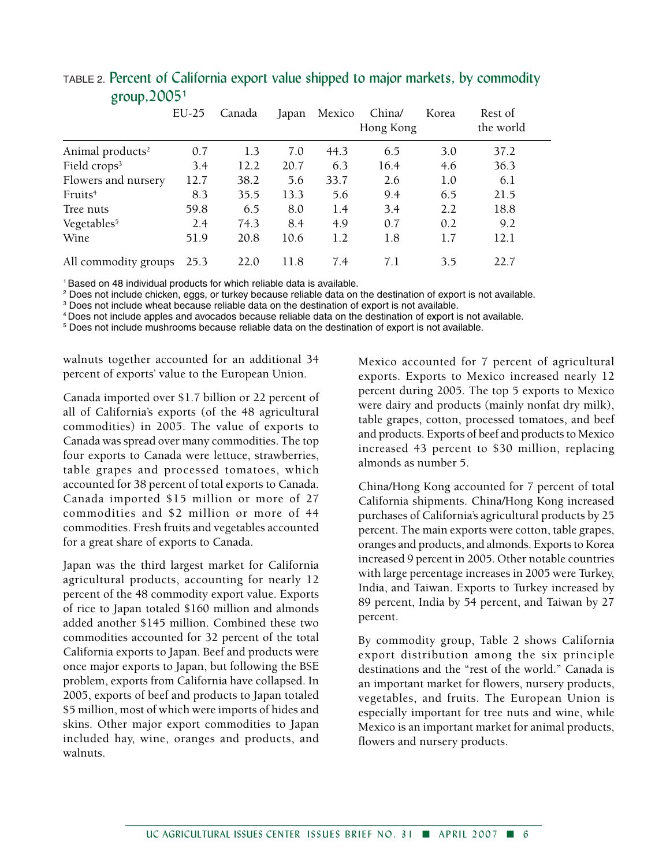|                              | $EU-25$ | Canada | Japan | Mexico | China/<br>Hong Kong | Korea | Rest of<br>the world |
|------------------------------|---------|--------|-------|--------|---------------------|-------|----------------------|
| Animal products <sup>2</sup> | 0.7     | 1.3    | 7.0   | 44.3   | 6.5                 | 3.0   | 37.2                 |
| Field crops <sup>3</sup>     | 3.4     | 12.2   | 20.7  | 6.3    | 16.4                | 4.6   | 36.3                 |
| Flowers and nursery          | 12.7    | 38.2   | 5.6   | 33.7   | 2.6                 | 1.0   | 6.1                  |
| Fruits <sup>4</sup>          | 8.3     | 35.5   | 13.3  | 5.6    | 9.4                 | 6.5   | 21.5                 |
| Tree nuts                    | 59.8    | 6.5    | 8.0   | 1.4    | 3.4                 | 2.2   | 18.8                 |
| Vegetables <sup>5</sup>      | 2.4     | 74.3   | 8.4   | 4.9    | 0.7                 | 0.2   | 9.2                  |
| Wine                         | 51.9    | 20.8   | 10.6  | 1.2    | 1.8                 | 1.7   | 12.1                 |
| All commodity groups         | 25.3    | 22.0   | 11.8  | 7.4    | 7.1                 | 3.5   | 22.7                 |

### TABLE 2. Percent of California export value shipped to major markets, by commodity group,2005<sup>1</sup>

1 Based on 48 individual products for which reliable data is available.

<sup>2</sup> Does not include chicken, eggs, or turkey because reliable data on the destination of export is not available.

<sup>3</sup> Does not include wheat because reliable data on the destination of export is not available.

4 Does not include apples and avocados because reliable data on the destination of export is not available.

5 Does not include mushrooms because reliable data on the destination of export is not available.

walnuts together accounted for an additional 34 percent of exports' value to the European Union.

Canada imported over \$1.7 billion or 22 percent of all of California's exports (of the 48 agricultural commodities) in 2005. The value of exports to Canada was spread over many commodities. The top four exports to Canada were lettuce, strawberries, table grapes and processed tomatoes, which accounted for 38 percent of total exports to Canada. Canada imported \$15 million or more of 27 commodities and \$2 million or more of 44 commodities. Fresh fruits and vegetables accounted for a great share of exports to Canada.

Japan was the third largest market for California agricultural products, accounting for nearly 12 percent of the 48 commodity export value. Exports of rice to Japan totaled \$160 million and almonds added another \$145 million. Combined these two commodities accounted for 32 percent of the total California exports to Japan. Beef and products were once major exports to Japan, but following the BSE problem, exports from California have collapsed. In 2005, exports of beef and products to Japan totaled \$5 million, most of which were imports of hides and skins. Other major export commodities to Japan included hay, wine, oranges and products, and walnuts.

Mexico accounted for 7 percent of agricultural exports. Exports to Mexico increased nearly 12 percent during 2005. The top 5 exports to Mexico were dairy and products (mainly nonfat dry milk), table grapes, cotton, processed tomatoes, and beef and products. Exports of beef and products to Mexico increased 43 percent to \$30 million, replacing almonds as number 5.

China/Hong Kong accounted for 7 percent of total California shipments. China/Hong Kong increased purchases of California's agricultural products by 25 percent. The main exports were cotton, table grapes, oranges and products, and almonds. Exports to Korea increased 9 percent in 2005. Other notable countries with large percentage increases in 2005 were Turkey, India, and Taiwan. Exports to Turkey increased by 89 percent, India by 54 percent, and Taiwan by 27 percent.

By commodity group, Table 2 shows California export distribution among the six principle destinations and the "rest of the world." Canada is an important market for flowers, nursery products, vegetables, and fruits. The European Union is especially important for tree nuts and wine, while Mexico is an important market for animal products, flowers and nursery products.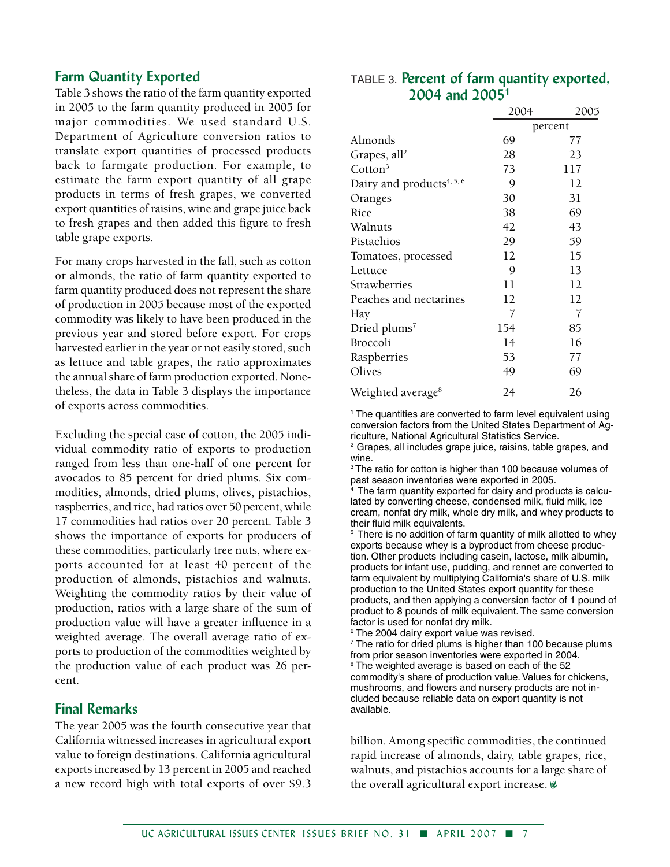#### **Farm Quantity Exported**

Table 3 shows the ratio of the farm quantity exported in 2005 to the farm quantity produced in 2005 for major commodities. We used standard U.S. Department of Agriculture conversion ratios to translate export quantities of processed products back to farmgate production. For example, to estimate the farm export quantity of all grape products in terms of fresh grapes, we converted export quantities of raisins, wine and grape juice back to fresh grapes and then added this figure to fresh table grape exports.

For many crops harvested in the fall, such as cotton or almonds, the ratio of farm quantity exported to farm quantity produced does not represent the share of production in 2005 because most of the exported commodity was likely to have been produced in the previous year and stored before export. For crops harvested earlier in the year or not easily stored, such as lettuce and table grapes, the ratio approximates the annual share of farm production exported. Nonetheless, the data in Table 3 displays the importance of exports across commodities.

Excluding the special case of cotton, the 2005 individual commodity ratio of exports to production ranged from less than one-half of one percent for avocados to 85 percent for dried plums. Six commodities, almonds, dried plums, olives, pistachios, raspberries, and rice, had ratios over 50 percent, while 17 commodities had ratios over 20 percent. Table 3 shows the importance of exports for producers of these commodities, particularly tree nuts, where exports accounted for at least 40 percent of the production of almonds, pistachios and walnuts. Weighting the commodity ratios by their value of production, ratios with a large share of the sum of production value will have a greater influence in a weighted average. The overall average ratio of exports to production of the commodities weighted by the production value of each product was 26 percent.

#### **Final Remarks**

The year 2005 was the fourth consecutive year that California witnessed increases in agricultural export value to foreign destinations. California agricultural exports increased by 13 percent in 2005 and reached a new record high with total exports of over \$9.3

# TABLE 3. **Percent of farm quantity exported, 2004 and 2005<sup>1</sup>**

|                                       | 2004 | 2005    |
|---------------------------------------|------|---------|
|                                       |      | percent |
| Almonds                               | 69   | 77      |
| Grapes, all <sup>2</sup>              | 28   | 23      |
| Cotton <sup>3</sup>                   | 73   | 117     |
| Dairy and products <sup>4, 5, 6</sup> | 9    | 12      |
| Oranges                               | 30   | 31      |
| Rice                                  | 38   | 69      |
| Walnuts                               | 42   | 43      |
| Pistachios                            | 29   | 59      |
| Tomatoes, processed                   | 12   | 15      |
| Lettuce                               | 9    | 13      |
| Strawberries                          | 11   | 12      |
| Peaches and nectarines                | 12   | 12      |
| Hay                                   | 7    | 7       |
| Dried plums <sup>7</sup>              | 154  | 85      |
| <b>Broccoli</b>                       | 14   | 16      |
| Raspberries                           | 53   | 77      |
| Olives                                | 49   | 69      |
| Weighted average <sup>8</sup>         | 24   | 26      |

1 The quantities are converted to farm level equivalent using conversion factors from the United States Department of Agriculture, National Agricultural Statistics Service.

<sup>2</sup> Grapes, all includes grape juice, raisins, table grapes, and wine.

<sup>3</sup> The ratio for cotton is higher than 100 because volumes of past season inventories were exported in 2005.

The farm quantity exported for dairy and products is calculated by converting cheese, condensed milk, fluid milk, ice cream, nonfat dry milk, whole dry milk, and whey products to their fluid milk equivalents.

<sup>5</sup> There is no addition of farm quantity of milk allotted to whey exports because whey is a byproduct from cheese production. Other products including casein, lactose, milk albumin, products for infant use, pudding, and rennet are converted to farm equivalent by multiplying California's share of U.S. milk production to the United States export quantity for these products, and then applying a conversion factor of 1 pound of product to 8 pounds of milk equivalent. The same conversion factor is used for nonfat dry milk.

6 The 2004 dairy export value was revised.

7 The ratio for dried plums is higher than 100 because plums from prior season inventories were exported in 2004. 8 The weighted average is based on each of the 52 commodity's share of production value. Values for chickens, mushrooms, and flowers and nursery products are not included because reliable data on export quantity is not available.

billion. Among specific commodities, the continued rapid increase of almonds, dairy, table grapes, rice, walnuts, and pistachios accounts for a large share of the overall agricultural export increase.  $\emptyset$